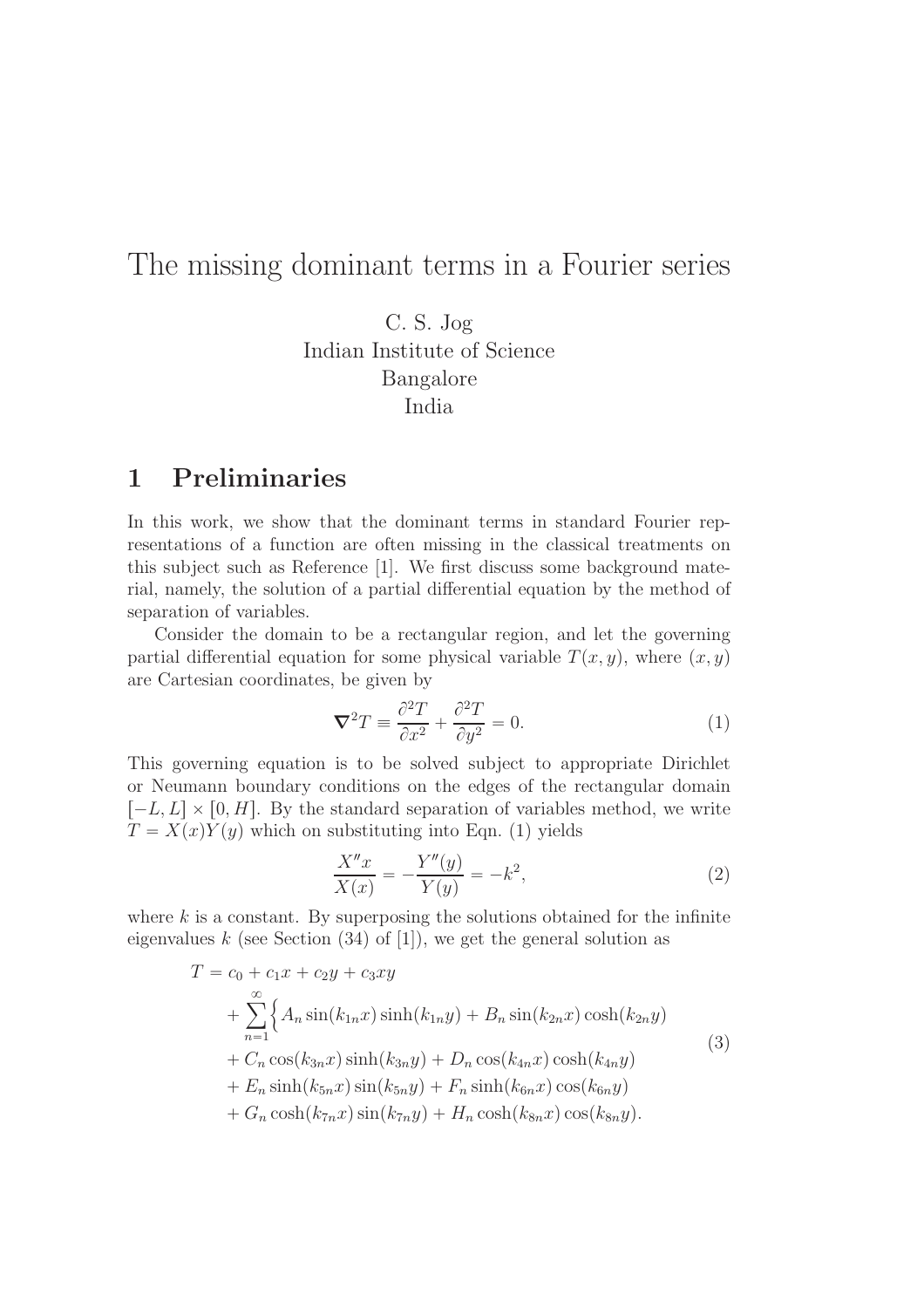## The missing dominant terms in a Fourier series

C. S. Jog Indian Institute of Science Bangalore India

### 1 Preliminaries

In this work, we show that the dominant terms in standard Fourier representations of a function are often missing in the classical treatments on this subject such as Reference [1]. We first discuss some background material, namely, the solution of a partial differential equation by the method of separation of variables.

Consider the domain to be a rectangular region, and let the governing partial differential equation for some physical variable  $T(x, y)$ , where  $(x, y)$ are Cartesian coordinates, be given by

$$
\nabla^2 T \equiv \frac{\partial^2 T}{\partial x^2} + \frac{\partial^2 T}{\partial y^2} = 0.
$$
 (1)

This governing equation is to be solved subject to appropriate Dirichlet or Neumann boundary conditions on the edges of the rectangular domain  $[-L, L] \times [0, H]$ . By the standard separation of variables method, we write  $T = X(x)Y(y)$  which on substituting into Eqn. (1) yields

$$
\frac{X''x}{X(x)} = -\frac{Y''(y)}{Y(y)} = -k^2,
$$
\n(2)

where  $k$  is a constant. By superposing the solutions obtained for the infinite eigenvalues  $k$  (see Section (34) of [1]), we get the general solution as

$$
T = c_0 + c_1 x + c_2 y + c_3 xy
$$
  
+  $\sum_{n=1}^{\infty} \Big\{ A_n \sin(k_{1n} x) \sinh(k_{1n} y) + B_n \sin(k_{2n} x) \cosh(k_{2n} y)$   
+  $C_n \cos(k_{3n} x) \sinh(k_{3n} y) + D_n \cos(k_{4n} x) \cosh(k_{4n} y)$   
+  $E_n \sinh(k_{5n} x) \sin(k_{5n} y) + F_n \sinh(k_{6n} x) \cos(k_{6n} y)$   
+  $G_n \cosh(k_{7n} x) \sin(k_{7n} y) + H_n \cosh(k_{8n} x) \cos(k_{8n} y).$  (3)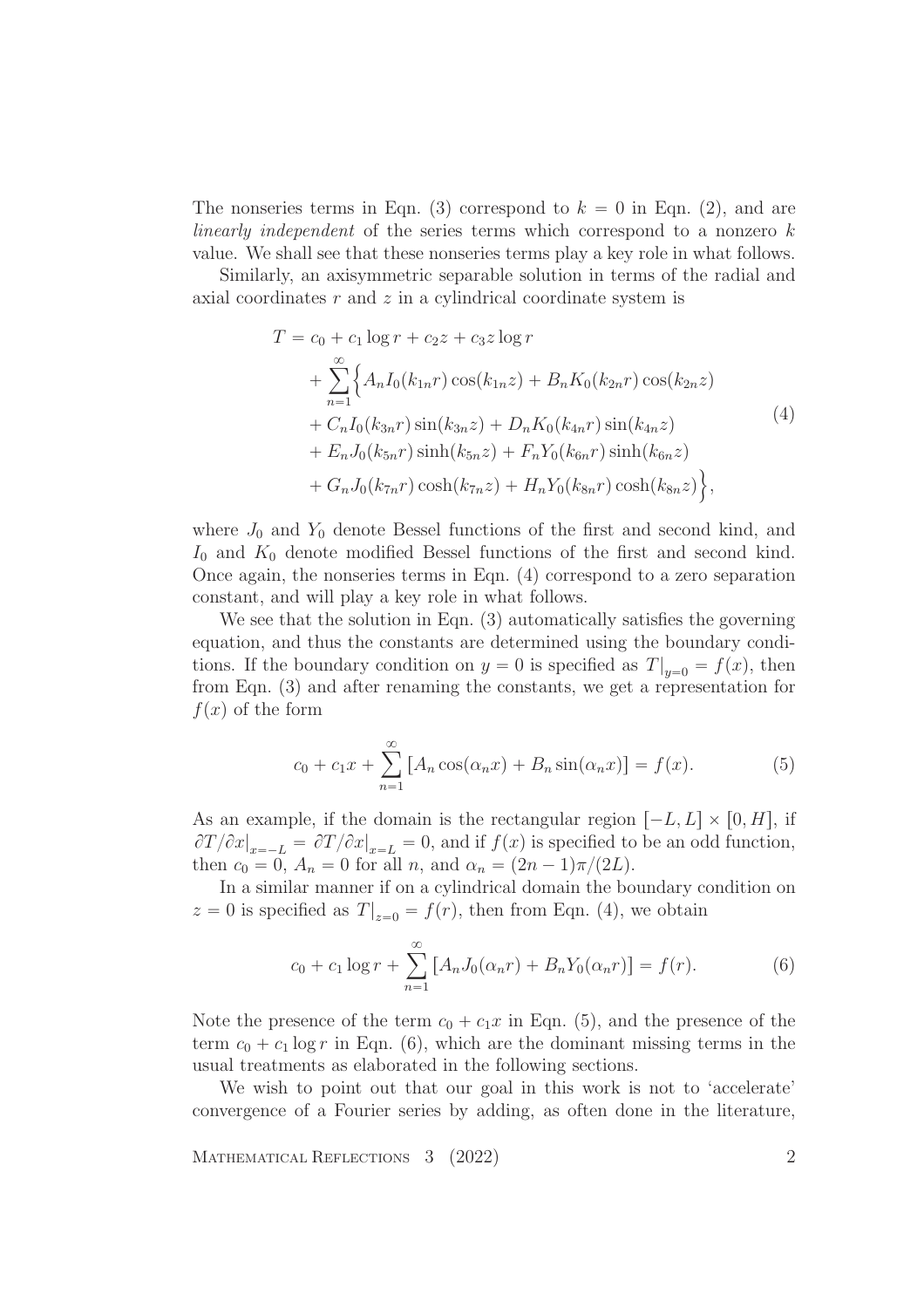The nonseries terms in Eqn. (3) correspond to  $k = 0$  in Eqn. (2), and are linearly independent of the series terms which correspond to a nonzero k value. We shall see that these nonseries terms play a key role in what follows.

Similarly, an axisymmetric separable solution in terms of the radial and axial coordinates  $r$  and  $z$  in a cylindrical coordinate system is

$$
T = c_0 + c_1 \log r + c_2 z + c_3 z \log r
$$
  
+ 
$$
\sum_{n=1}^{\infty} \Big\{ A_n I_0(k_{1n}r) \cos(k_{1n}z) + B_n K_0(k_{2n}r) \cos(k_{2n}z) + C_n I_0(k_{3n}r) \sin(k_{3n}z) + D_n K_0(k_{4n}r) \sin(k_{4n}z) + E_n J_0(k_{5n}r) \sinh(k_{5n}z) + F_n Y_0(k_{6n}r) \sinh(k_{6n}z) + G_n J_0(k_{7n}r) \cosh(k_{7n}z) + H_n Y_0(k_{8n}r) \cosh(k_{8n}z) \Big\},
$$
 (4)

where  $J_0$  and  $Y_0$  denote Bessel functions of the first and second kind, and  $I_0$  and  $K_0$  denote modified Bessel functions of the first and second kind. Once again, the nonseries terms in Eqn. (4) correspond to a zero separation constant, and will play a key role in what follows.

We see that the solution in Eqn. (3) automatically satisfies the governing equation, and thus the constants are determined using the boundary conditions. If the boundary condition on  $y = 0$  is specified as  $T|_{y=0} = f(x)$ , then from Eqn. (3) and after renaming the constants, we get a representation for  $f(x)$  of the form

$$
c_0 + c_1 x + \sum_{n=1}^{\infty} [A_n \cos(\alpha_n x) + B_n \sin(\alpha_n x)] = f(x).
$$
 (5)

As an example, if the domain is the rectangular region  $[-L, L] \times [0, H]$ , if  $\partial T/\partial x|_{x=-L} = \partial T/\partial x|_{x=L} = 0$ , and if  $f(x)$  is specified to be an odd function, then  $c_0 = 0$ ,  $A_n = 0$  for all n, and  $\alpha_n = (2n - 1)\pi/(2L)$ .

In a similar manner if on a cylindrical domain the boundary condition on  $z = 0$  is specified as  $T|_{z=0} = f(r)$ , then from Eqn. (4), we obtain

$$
c_0 + c_1 \log r + \sum_{n=1}^{\infty} \left[ A_n J_0(\alpha_n r) + B_n Y_0(\alpha_n r) \right] = f(r). \tag{6}
$$

Note the presence of the term  $c_0 + c_1x$  in Eqn. (5), and the presence of the term  $c_0 + c_1 \log r$  in Eqn. (6), which are the dominant missing terms in the usual treatments as elaborated in the following sections.

We wish to point out that our goal in this work is not to 'accelerate' convergence of a Fourier series by adding, as often done in the literature,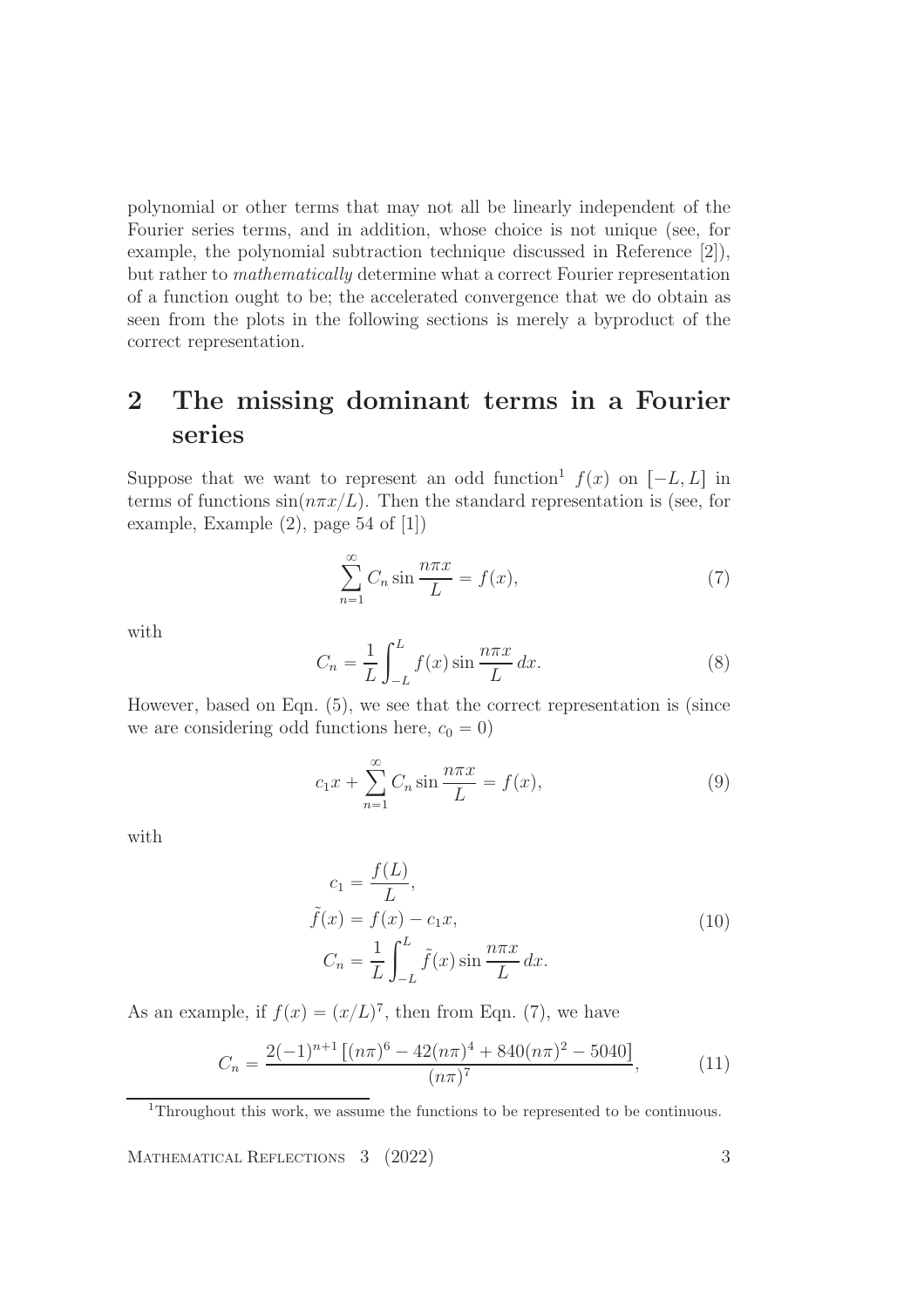polynomial or other terms that may not all be linearly independent of the Fourier series terms, and in addition, whose choice is not unique (see, for example, the polynomial subtraction technique discussed in Reference [2]), but rather to mathematically determine what a correct Fourier representation of a function ought to be; the accelerated convergence that we do obtain as seen from the plots in the following sections is merely a byproduct of the correct representation.

# 2 The missing dominant terms in a Fourier series

Suppose that we want to represent an odd function<sup>1</sup>  $f(x)$  on  $[-L, L]$  in terms of functions  $\sin(n\pi x/L)$ . Then the standard representation is (see, for example, Example (2), page 54 of [1])

$$
\sum_{n=1}^{\infty} C_n \sin \frac{n \pi x}{L} = f(x),\tag{7}
$$

with

$$
C_n = \frac{1}{L} \int_{-L}^{L} f(x) \sin \frac{n \pi x}{L} dx.
$$
 (8)

However, based on Eqn. (5), we see that the correct representation is (since we are considering odd functions here,  $c_0 = 0$ )

$$
c_1 x + \sum_{n=1}^{\infty} C_n \sin \frac{n \pi x}{L} = f(x), \tag{9}
$$

with

$$
c_1 = \frac{f(L)}{L},
$$
  
\n
$$
\tilde{f}(x) = f(x) - c_1 x,
$$
  
\n
$$
C_n = \frac{1}{L} \int_{-L}^{L} \tilde{f}(x) \sin \frac{n \pi x}{L} dx.
$$
\n(10)

As an example, if  $f(x) = (x/L)^7$ , then from Eqn. (7), we have

$$
C_n = \frac{2(-1)^{n+1} \left[ (n\pi)^6 - 42(n\pi)^4 + 840(n\pi)^2 - 5040 \right]}{(n\pi)^7},
$$
(11)

<sup>1</sup>Throughout this work, we assume the functions to be represented to be continuous.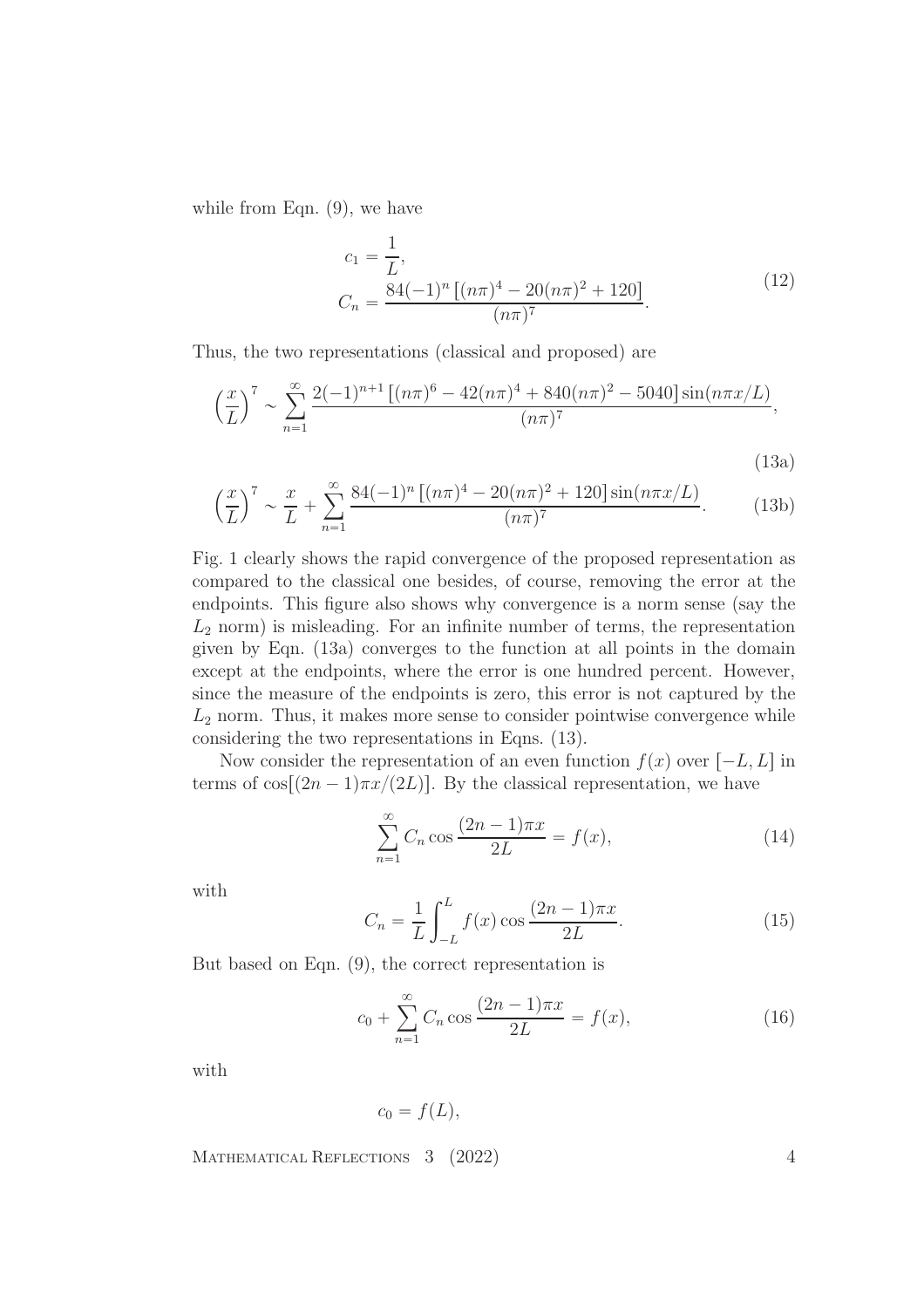while from Eqn.  $(9)$ , we have

$$
c_1 = \frac{1}{L},
$$
  
\n
$$
C_n = \frac{84(-1)^n \left[ (n\pi)^4 - 20(n\pi)^2 + 120 \right]}{(n\pi)^7}.
$$
\n(12)

Thus, the two representations (classical and proposed) are

$$
\left(\frac{x}{L}\right)^7 \sim \sum_{n=1}^{\infty} \frac{2(-1)^{n+1} \left[ (n\pi)^6 - 42(n\pi)^4 + 840(n\pi)^2 - 5040 \right] \sin(n\pi x/L)}{(n\pi)^7},
$$

$$
(13a)
$$

$$
\left(\frac{x}{L}\right)^7 \sim \frac{x}{L} + \sum_{n=1}^{\infty} \frac{84(-1)^n \left[ (n\pi)^4 - 20(n\pi)^2 + 120 \right] \sin(n\pi x/L)}{(n\pi)^7}.
$$
 (13b)

Fig. 1 clearly shows the rapid convergence of the proposed representation as compared to the classical one besides, of course, removing the error at the endpoints. This figure also shows why convergence is a norm sense (say the  $L_2$  norm) is misleading. For an infinite number of terms, the representation given by Eqn. (13a) converges to the function at all points in the domain except at the endpoints, where the error is one hundred percent. However, since the measure of the endpoints is zero, this error is not captured by the  $L<sub>2</sub>$  norm. Thus, it makes more sense to consider pointwise convergence while considering the two representations in Eqns. (13).

Now consider the representation of an even function  $f(x)$  over  $[-L, L]$  in terms of  $\cos[(2n-1)\pi x/(2L)]$ . By the classical representation, we have

$$
\sum_{n=1}^{\infty} C_n \cos \frac{(2n-1)\pi x}{2L} = f(x),
$$
\n(14)

with

$$
C_n = \frac{1}{L} \int_{-L}^{L} f(x) \cos \frac{(2n-1)\pi x}{2L}.
$$
 (15)

But based on Eqn. (9), the correct representation is

$$
c_0 + \sum_{n=1}^{\infty} C_n \cos \frac{(2n-1)\pi x}{2L} = f(x),
$$
\n(16)

with

$$
c_0 = f(L),
$$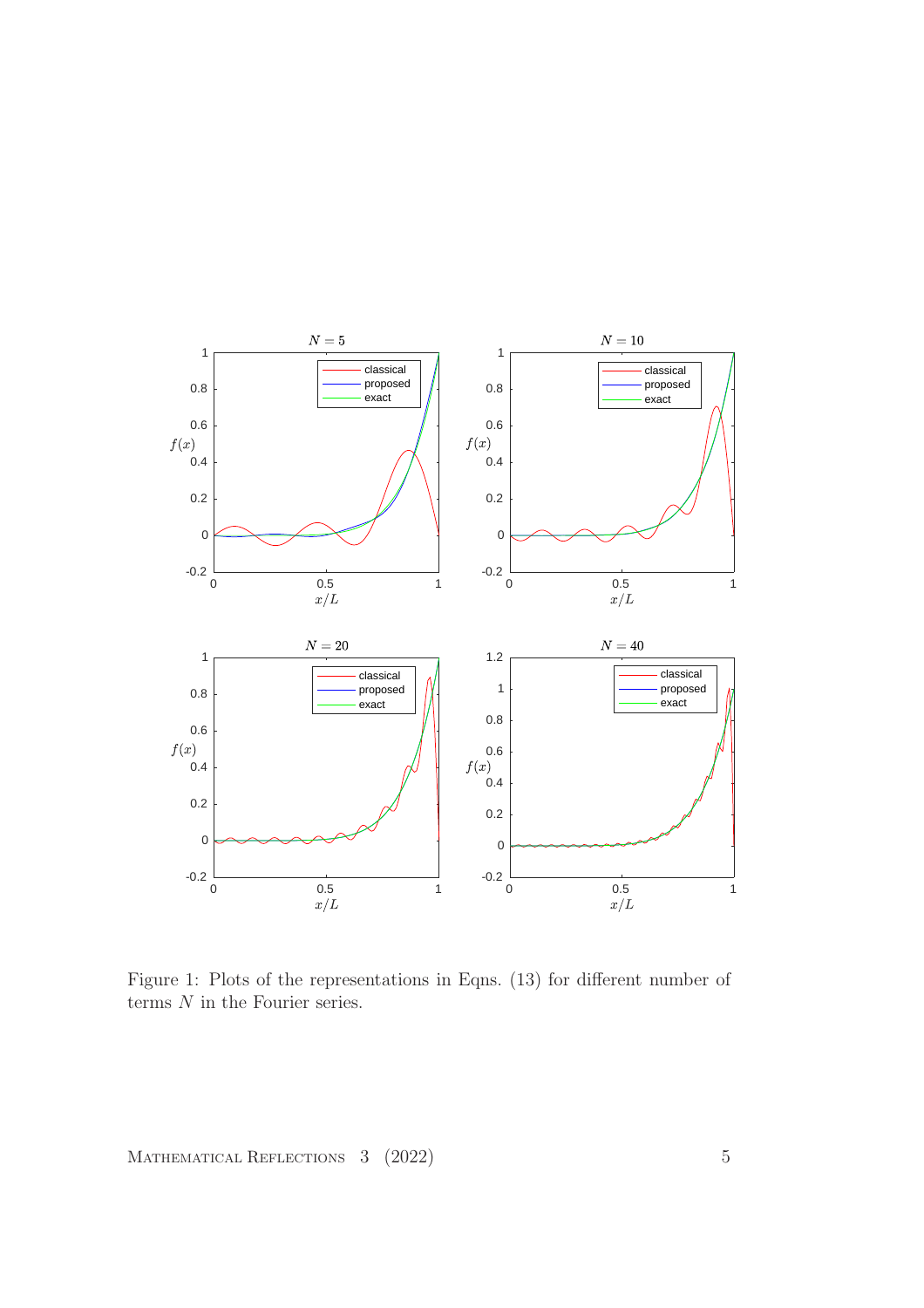

Figure 1: Plots of the representations in Eqns. (13) for different number of terms  $N$  in the Fourier series.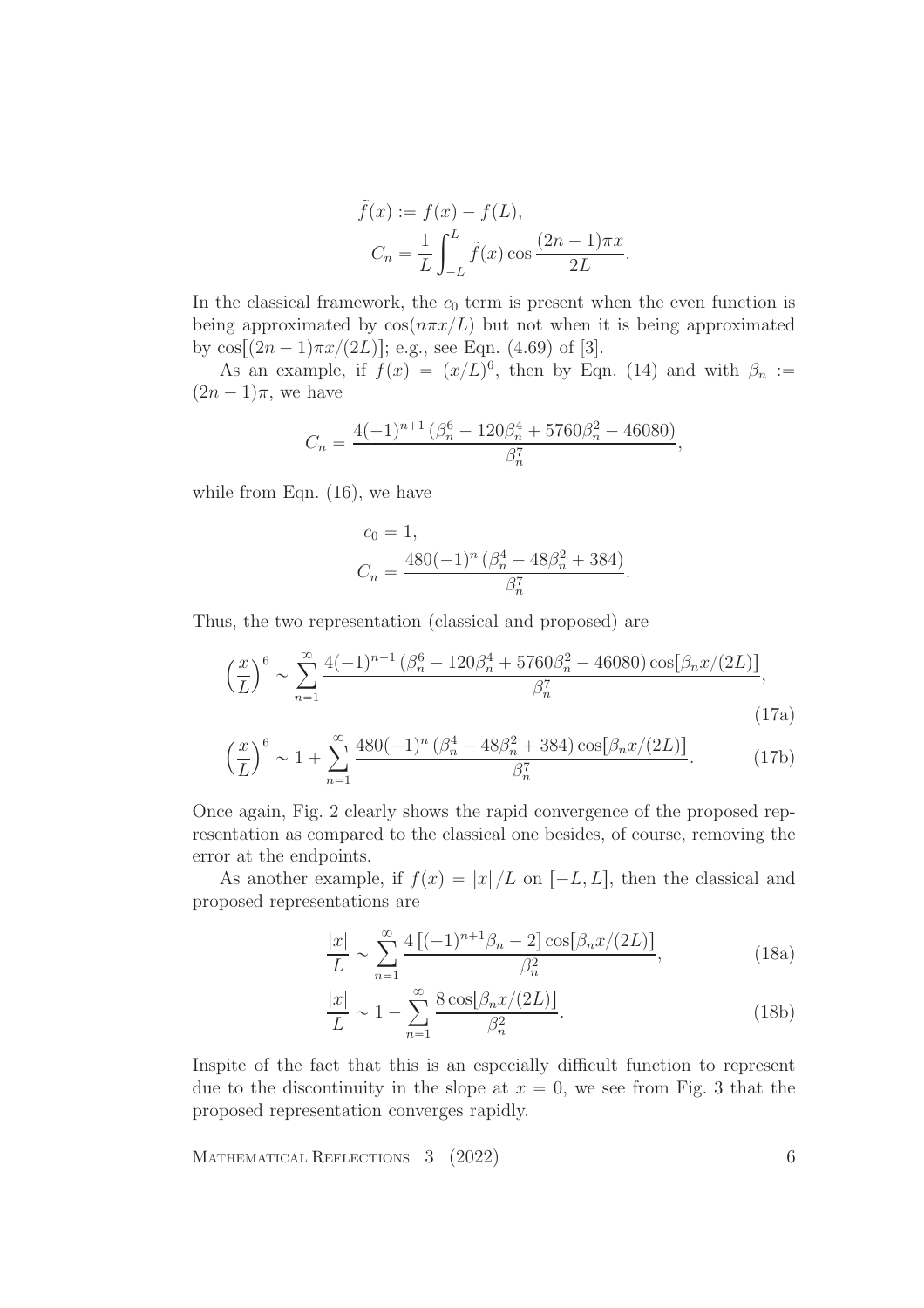$$
\tilde{f}(x) := f(x) - f(L),
$$

$$
C_n = \frac{1}{L} \int_{-L}^{L} \tilde{f}(x) \cos \frac{(2n-1)\pi x}{2L}.
$$

In the classical framework, the  $c_0$  term is present when the even function is being approximated by  $\cos(n\pi x/L)$  but not when it is being approximated by  $\cos[(2n-1)\pi x/(2L)]$ ; e.g., see Eqn. (4.69) of [3].

As an example, if  $f(x) = (x/L)^6$ , then by Eqn. (14) and with  $\beta_n :=$  $(2n - 1)\pi$ , we have

$$
C_n = \frac{4(-1)^{n+1} \left(\beta_n^6 - 120\beta_n^4 + 5760\beta_n^2 - 46080\right)}{\beta_n^7},
$$

while from Eqn.  $(16)$ , we have

$$
c_0 = 1,
$$
  
\n
$$
C_n = \frac{480(-1)^n (\beta_n^4 - 48\beta_n^2 + 384)}{\beta_n^7}
$$

.

Thus, the two representation (classical and proposed) are

$$
\left(\frac{x}{L}\right)^6 \sim \sum_{n=1}^{\infty} \frac{4(-1)^{n+1} \left(\beta_n^6 - 120\beta_n^4 + 5760\beta_n^2 - 46080\right) \cos[\beta_n x/(2L)]}{\beta_n^7},\tag{17a}
$$

$$
\left(\frac{x}{L}\right)^6 \sim 1 + \sum_{n=1}^{\infty} \frac{480(-1)^n \left(\beta_n^4 - 48\beta_n^2 + 384\right) \cos[\beta_n x/(2L)]}{\beta_n^7}.
$$
 (17b)

Once again, Fig. 2 clearly shows the rapid convergence of the proposed representation as compared to the classical one besides, of course, removing the error at the endpoints.

As another example, if  $f(x) = |x| / L$  on  $[-L, L]$ , then the classical and proposed representations are

$$
\frac{|x|}{L} \sim \sum_{n=1}^{\infty} \frac{4[(-1)^{n+1}\beta_n - 2] \cos[\beta_n x/(2L)]}{\beta_n^2},
$$
\n(18a)

$$
\frac{|x|}{L} \sim 1 - \sum_{n=1}^{\infty} \frac{8 \cos[\beta_n x/(2L)]}{\beta_n^2}.
$$
\n(18b)

Inspite of the fact that this is an especially difficult function to represent due to the discontinuity in the slope at  $x = 0$ , we see from Fig. 3 that the proposed representation converges rapidly.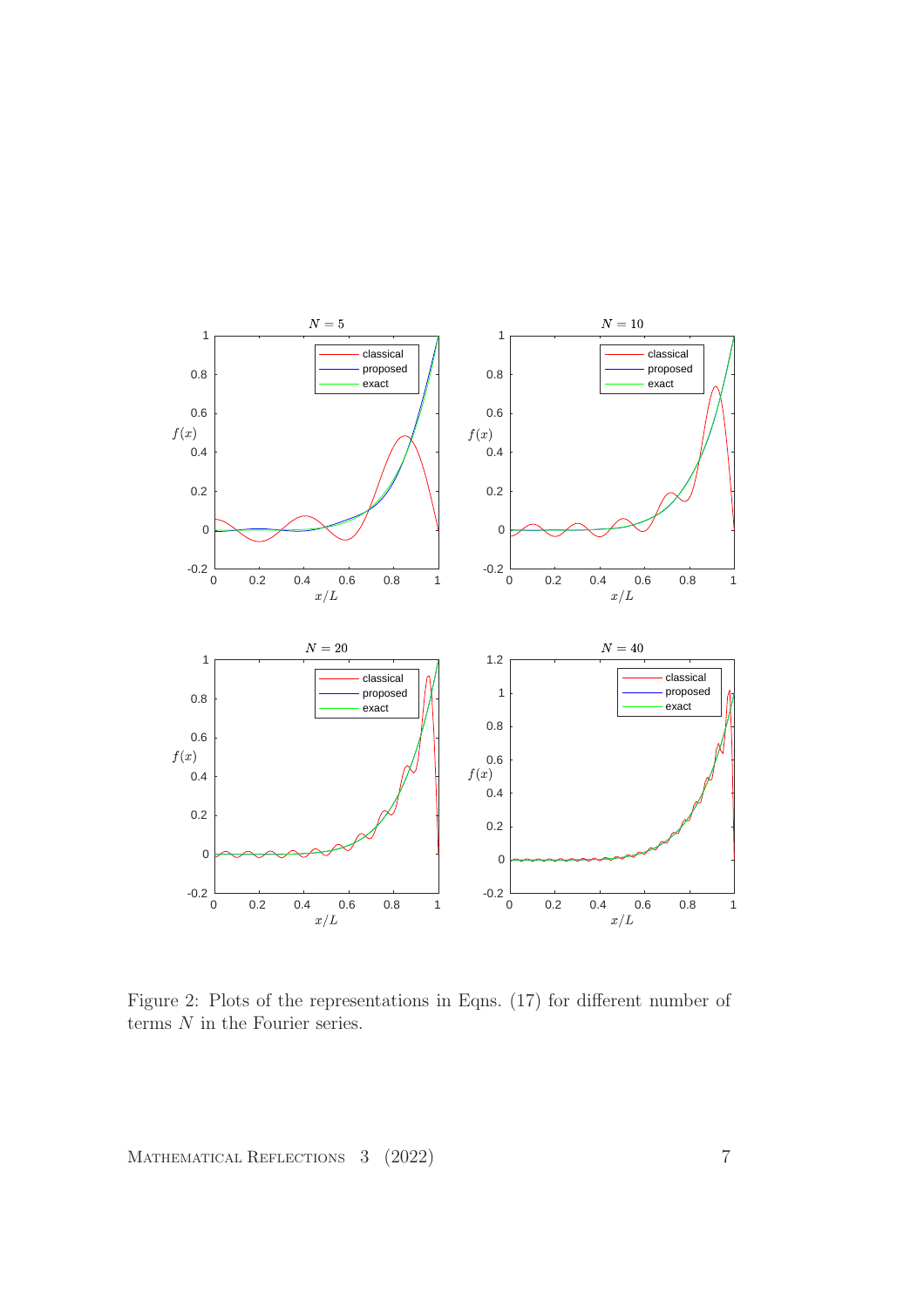

Figure 2: Plots of the representations in Eqns. (17) for different number of terms  ${\cal N}$  in the Fourier series.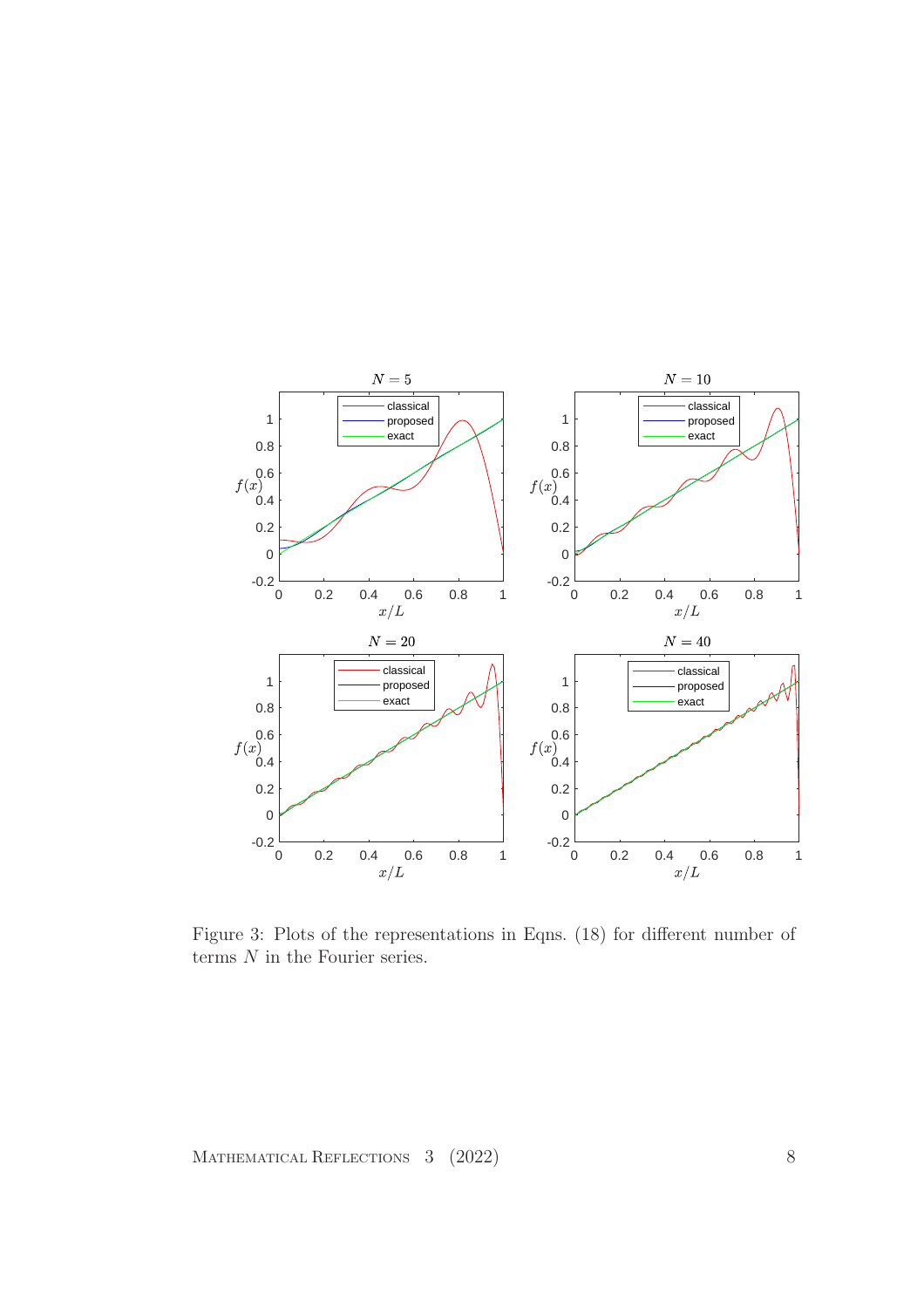

Figure 3: Plots of the representations in Eqns. (18) for different number of terms  ${\cal N}$  in the Fourier series.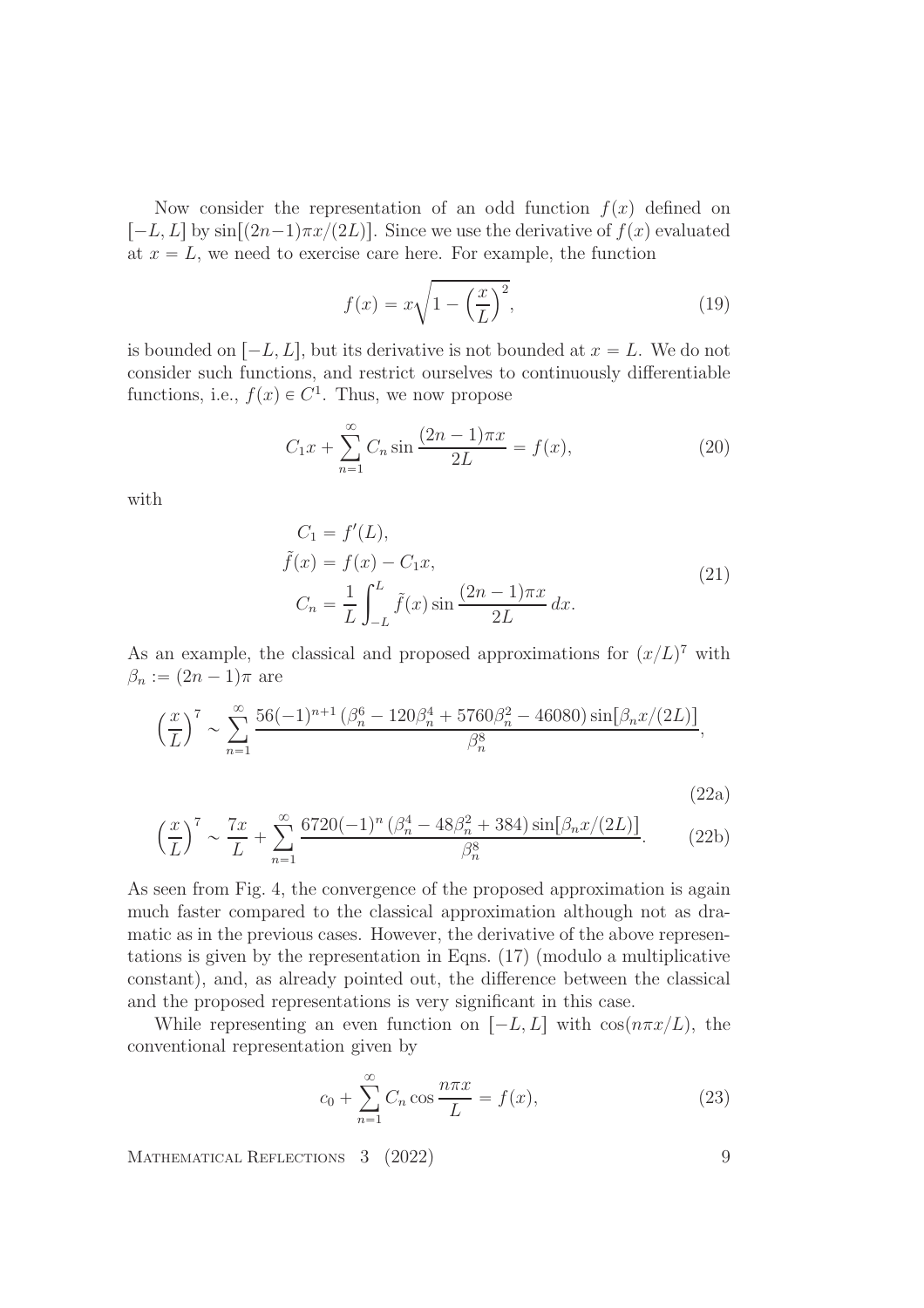Now consider the representation of an odd function  $f(x)$  defined on  $[-L, L]$  by  $\sin[(2n-1)\pi x/(2L)]$ . Since we use the derivative of  $f(x)$  evaluated at  $x = L$ , we need to exercise care here. For example, the function

$$
f(x) = x\sqrt{1 - \left(\frac{x}{L}\right)^2},\tag{19}
$$

is bounded on  $[-L, L]$ , but its derivative is not bounded at  $x = L$ . We do not consider such functions, and restrict ourselves to continuously differentiable functions, i.e.,  $f(x) \in C^1$ . Thus, we now propose

$$
C_1 x + \sum_{n=1}^{\infty} C_n \sin \frac{(2n-1)\pi x}{2L} = f(x),
$$
 (20)

with

$$
C_1 = f'(L),
$$
  
\n
$$
\tilde{f}(x) = f(x) - C_1 x,
$$
  
\n
$$
C_n = \frac{1}{L} \int_{-L}^{L} \tilde{f}(x) \sin \frac{(2n-1)\pi x}{2L} dx.
$$
\n(21)

As an example, the classical and proposed approximations for  $(x/L)^7$  with  $\beta_n := (2n - 1)\pi$  are

$$
\left(\frac{x}{L}\right)^7 \sim \sum_{n=1}^{\infty} \frac{56(-1)^{n+1} \left(\beta_n^6 - 120\beta_n^4 + 5760\beta_n^2 - 46080\right) \sin[\beta_n x/(2L)]}{\beta_n^8},
$$

$$
(22a)
$$

$$
\left(\frac{x}{L}\right)^7 \sim \frac{7x}{L} + \sum_{n=1}^{\infty} \frac{6720(-1)^n \left(\beta_n^4 - 48\beta_n^2 + 384\right) \sin[\beta_n x/(2L)]}{\beta_n^8}.
$$
 (22b)

As seen from Fig. 4, the convergence of the proposed approximation is again much faster compared to the classical approximation although not as dramatic as in the previous cases. However, the derivative of the above representations is given by the representation in Eqns. (17) (modulo a multiplicative constant), and, as already pointed out, the difference between the classical and the proposed representations is very significant in this case.

While representing an even function on  $[-L, L]$  with  $\cos(n\pi x/L)$ , the conventional representation given by

$$
c_0 + \sum_{n=1}^{\infty} C_n \cos \frac{n\pi x}{L} = f(x),\tag{23}
$$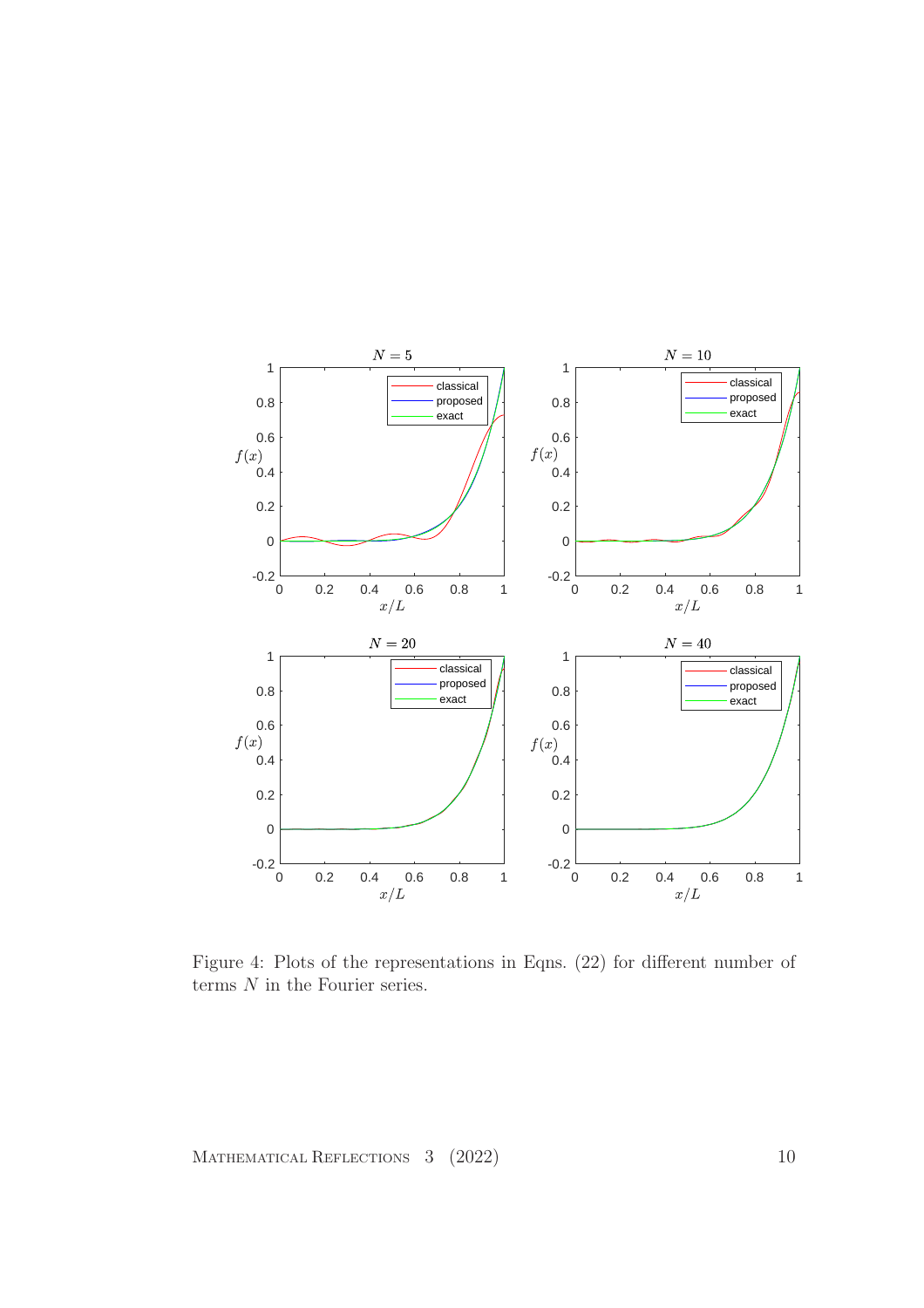

Figure 4: Plots of the representations in Eqns. (22) for different number of terms  $N$  in the Fourier series.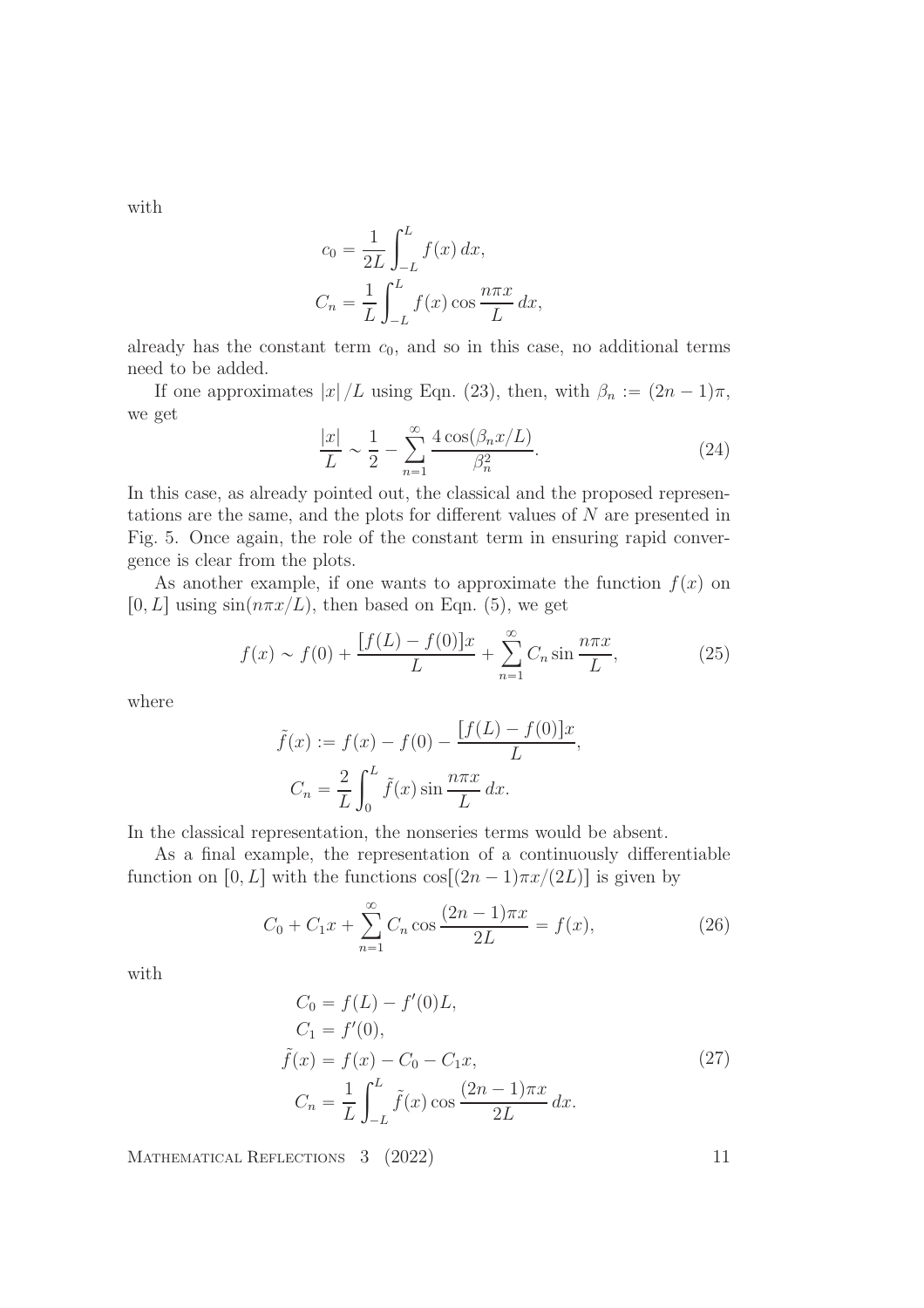with

$$
c_0 = \frac{1}{2L} \int_{-L}^{L} f(x) dx,
$$
  

$$
C_n = \frac{1}{L} \int_{-L}^{L} f(x) \cos \frac{n \pi x}{L} dx,
$$

already has the constant term  $c_0$ , and so in this case, no additional terms need to be added.

If one approximates  $|x|/L$  using Eqn. (23), then, with  $\beta_n := (2n - 1)\pi$ , we get

$$
\frac{|x|}{L} \sim \frac{1}{2} - \sum_{n=1}^{\infty} \frac{4 \cos(\beta_n x/L)}{\beta_n^2}.
$$
 (24)

In this case, as already pointed out, the classical and the proposed representations are the same, and the plots for different values of N are presented in Fig. 5. Once again, the role of the constant term in ensuring rapid convergence is clear from the plots.

As another example, if one wants to approximate the function  $f(x)$  on [0, L] using  $sin(n\pi x/L)$ , then based on Eqn. (5), we get

$$
f(x) \sim f(0) + \frac{[f(L) - f(0)]x}{L} + \sum_{n=1}^{\infty} C_n \sin \frac{n\pi x}{L},
$$
 (25)

where

$$
\tilde{f}(x) := f(x) - f(0) - \frac{[f(L) - f(0)]x}{L},
$$

$$
C_n = \frac{2}{L} \int_0^L \tilde{f}(x) \sin \frac{n\pi x}{L} dx.
$$

In the classical representation, the nonseries terms would be absent.

As a final example, the representation of a continuously differentiable function on [0, L] with the functions  $\cos[(2n-1)\pi x/(2L)]$  is given by

$$
C_0 + C_1 x + \sum_{n=1}^{\infty} C_n \cos \frac{(2n-1)\pi x}{2L} = f(x),
$$
\n(26)

with

$$
C_0 = f(L) - f'(0)L,
$$
  
\n
$$
C_1 = f'(0),
$$
  
\n
$$
\tilde{f}(x) = f(x) - C_0 - C_1 x,
$$
  
\n
$$
C_n = \frac{1}{L} \int_{-L}^{L} \tilde{f}(x) \cos \frac{(2n-1)\pi x}{2L} dx.
$$
\n(27)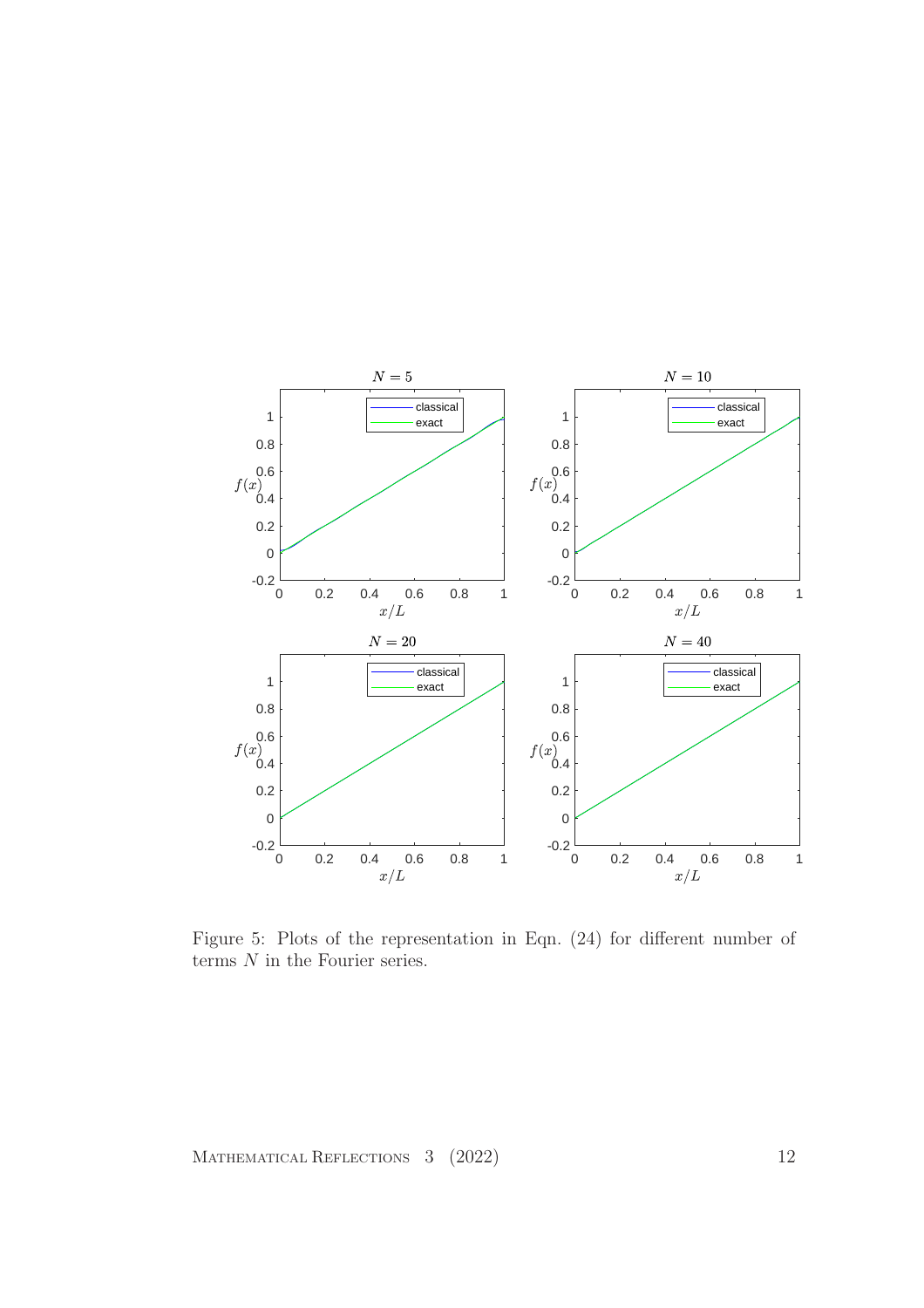

Figure 5: Plots of the representation in Eqn. (24) for different number of terms  $N$  in the Fourier series.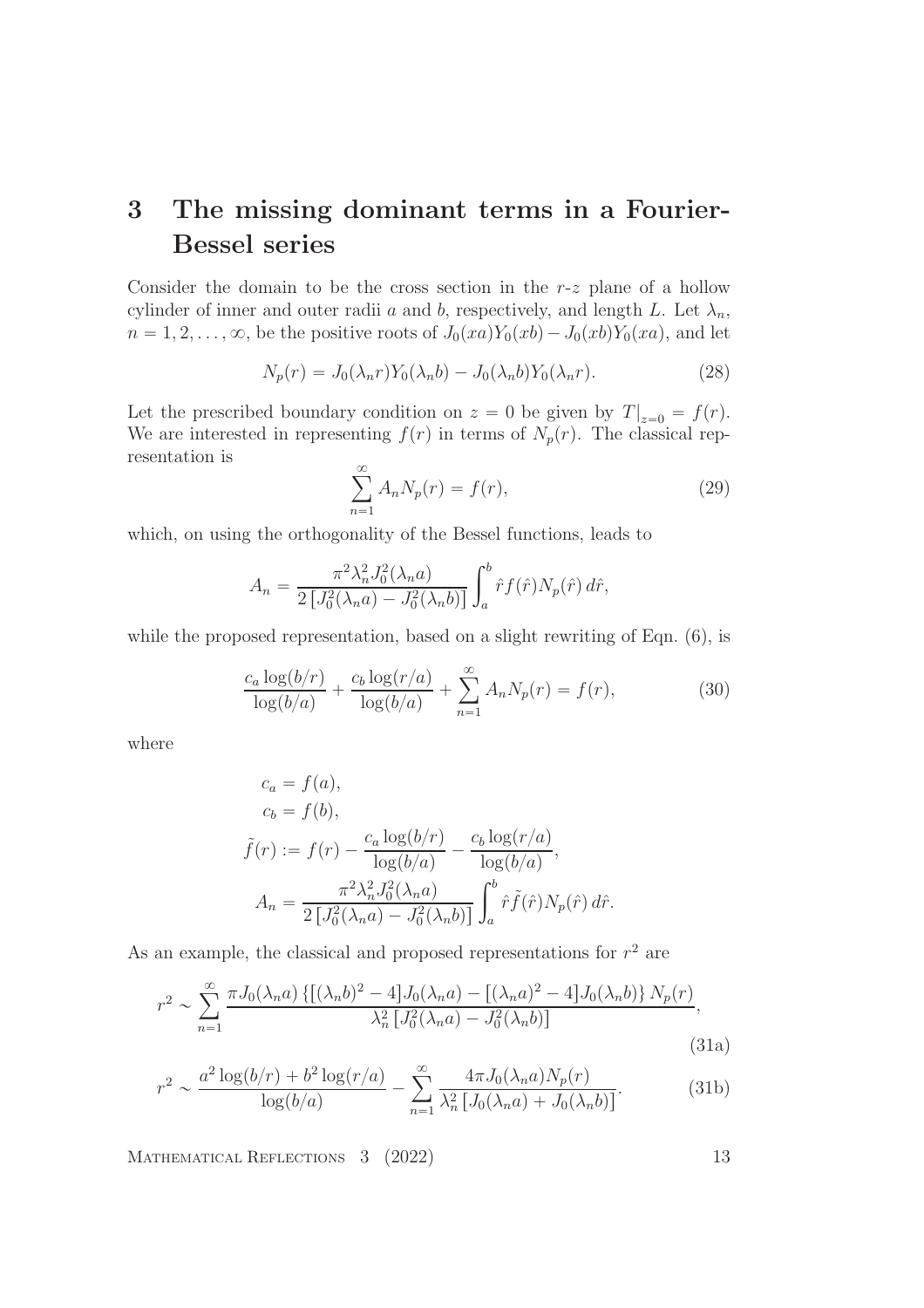## 3 The missing dominant terms in a Fourier-Bessel series

Consider the domain to be the cross section in the  $r-z$  plane of a hollow cylinder of inner and outer radii a and b, respectively, and length L. Let  $\lambda_n$ ,  $n = 1, 2, \ldots, \infty$ , be the positive roots of  $J_0(xa)Y_0(xb) - J_0(xb)Y_0(xa)$ , and let

$$
N_p(r) = J_0(\lambda_n r) Y_0(\lambda_n b) - J_0(\lambda_n b) Y_0(\lambda_n r).
$$
\n(28)

Let the prescribed boundary condition on  $z = 0$  be given by  $T|_{z=0} = f(r)$ . We are interested in representing  $f(r)$  in terms of  $N_p(r)$ . The classical representation is

$$
\sum_{n=1}^{\infty} A_n N_p(r) = f(r),\tag{29}
$$

which, on using the orthogonality of the Bessel functions, leads to

$$
A_n = \frac{\pi^2 \lambda_n^2 J_0^2(\lambda_n a)}{2 \left[ J_0^2(\lambda_n a) - J_0^2(\lambda_n b) \right]} \int_a^b \hat{r} f(\hat{r}) N_p(\hat{r}) d\hat{r},
$$

while the proposed representation, based on a slight rewriting of Eqn.  $(6)$ , is

$$
\frac{c_a \log(b/r)}{\log(b/a)} + \frac{c_b \log(r/a)}{\log(b/a)} + \sum_{n=1}^{\infty} A_n N_p(r) = f(r),
$$
\n(30)

where

$$
c_a = f(a),
$$
  
\n
$$
c_b = f(b),
$$
  
\n
$$
\tilde{f}(r) := f(r) - \frac{c_a \log(b/r)}{\log(b/a)} - \frac{c_b \log(r/a)}{\log(b/a)},
$$
  
\n
$$
A_n = \frac{\pi^2 \lambda_n^2 J_0^2(\lambda_n a)}{2 \left[ J_0^2(\lambda_n a) - J_0^2(\lambda_n b) \right]} \int_a^b \hat{r} \tilde{f}(\hat{r}) N_p(\hat{r}) d\hat{r}.
$$

As an example, the classical and proposed representations for  $r^2$  are

$$
r^{2} \sim \sum_{n=1}^{\infty} \frac{\pi J_{0}(\lambda_{n} a) \left\{ \left[ (\lambda_{n} b)^{2} - 4 \right] J_{0}(\lambda_{n} a) - \left[ (\lambda_{n} a)^{2} - 4 \right] J_{0}(\lambda_{n} b) \right\} N_{p}(r)}{\lambda_{n}^{2} \left[ J_{0}^{2}(\lambda_{n} a) - J_{0}^{2}(\lambda_{n} b) \right]}
$$
\n(31a)

$$
r^{2} \sim \frac{a^{2} \log(b/r) + b^{2} \log(r/a)}{\log(b/a)} - \sum_{n=1}^{\infty} \frac{4\pi J_{0}(\lambda_{n} a) N_{p}(r)}{\lambda_{n}^{2} [J_{0}(\lambda_{n} a) + J_{0}(\lambda_{n} b)]}.
$$
 (31b)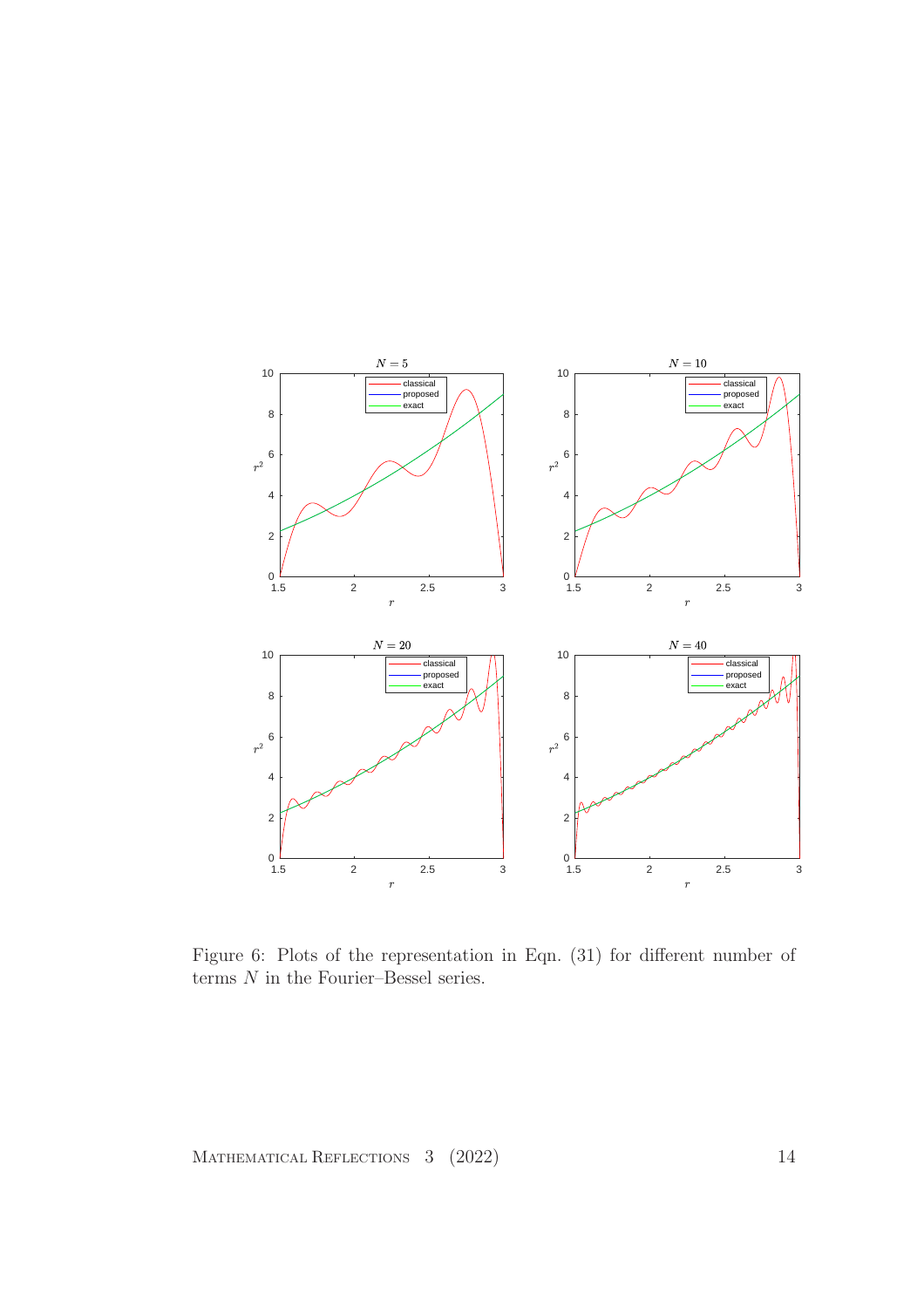

Figure 6: Plots of the representation in Eqn. (31) for different number of terms  ${\cal N}$  in the Fourier–Bessel series.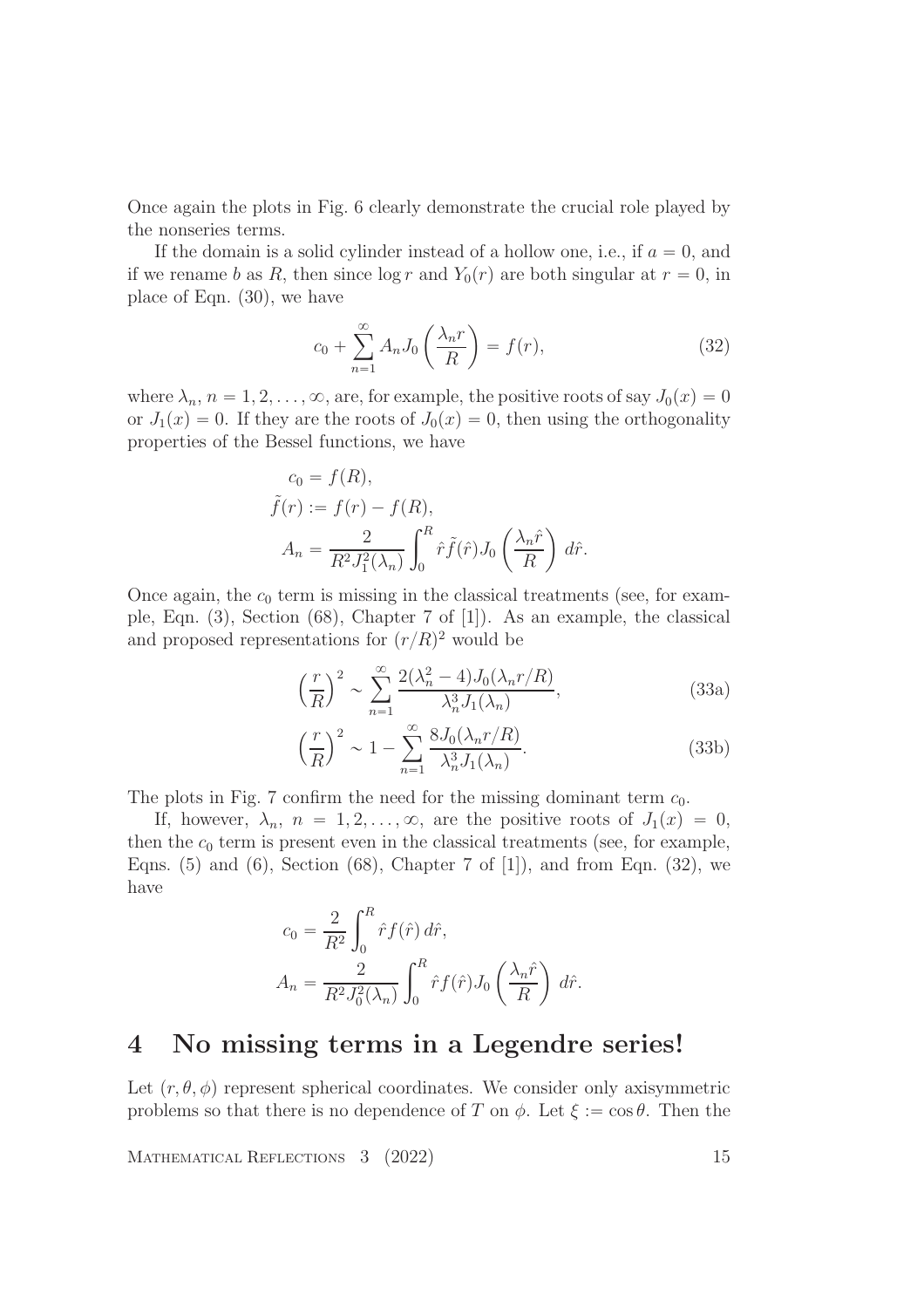Once again the plots in Fig. 6 clearly demonstrate the crucial role played by the nonseries terms.

If the domain is a solid cylinder instead of a hollow one, i.e., if  $a = 0$ , and if we rename b as R, then since  $\log r$  and  $Y_0(r)$  are both singular at  $r = 0$ , in place of Eqn. (30), we have

$$
c_0 + \sum_{n=1}^{\infty} A_n J_0\left(\frac{\lambda_n r}{R}\right) = f(r),\tag{32}
$$

where  $\lambda_n$ ,  $n = 1, 2, \ldots, \infty$ , are, for example, the positive roots of say  $J_0(x) = 0$ or  $J_1(x) = 0$ . If they are the roots of  $J_0(x) = 0$ , then using the orthogonality properties of the Bessel functions, we have

$$
c_0 = f(R),
$$
  
\n
$$
\tilde{f}(r) := f(r) - f(R),
$$
  
\n
$$
A_n = \frac{2}{R^2 J_1^2(\lambda_n)} \int_0^R \hat{r} \tilde{f}(\hat{r}) J_0\left(\frac{\lambda_n \hat{r}}{R}\right) d\hat{r}.
$$

Once again, the  $c_0$  term is missing in the classical treatments (see, for example, Eqn. (3), Section (68), Chapter 7 of [1]). As an example, the classical and proposed representations for  $(r/R)^2$  would be

$$
\left(\frac{r}{R}\right)^2 \sim \sum_{n=1}^{\infty} \frac{2(\lambda_n^2 - 4)J_0(\lambda_n r/R)}{\lambda_n^3 J_1(\lambda_n)},\tag{33a}
$$

$$
\left(\frac{r}{R}\right)^2 \sim 1 - \sum_{n=1}^{\infty} \frac{8J_0(\lambda_n r/R)}{\lambda_n^3 J_1(\lambda_n)}.
$$
\n(33b)

The plots in Fig. 7 confirm the need for the missing dominant term  $c_0$ .

If, however,  $\lambda_n$ ,  $n = 1, 2, \ldots, \infty$ , are the positive roots of  $J_1(x) = 0$ , then the  $c_0$  term is present even in the classical treatments (see, for example, Eqns.  $(5)$  and  $(6)$ , Section  $(68)$ , Chapter 7 of  $[1]$ , and from Eqn.  $(32)$ , we have

$$
c_0 = \frac{2}{R^2} \int_0^R \hat{r} f(\hat{r}) d\hat{r},
$$
  

$$
A_n = \frac{2}{R^2 J_0^2(\lambda_n)} \int_0^R \hat{r} f(\hat{r}) J_0\left(\frac{\lambda_n \hat{r}}{R}\right) d\hat{r}.
$$

#### 4 No missing terms in a Legendre series!

Let  $(r, \theta, \phi)$  represent spherical coordinates. We consider only axisymmetric problems so that there is no dependence of T on  $\phi$ . Let  $\xi := \cos \theta$ . Then the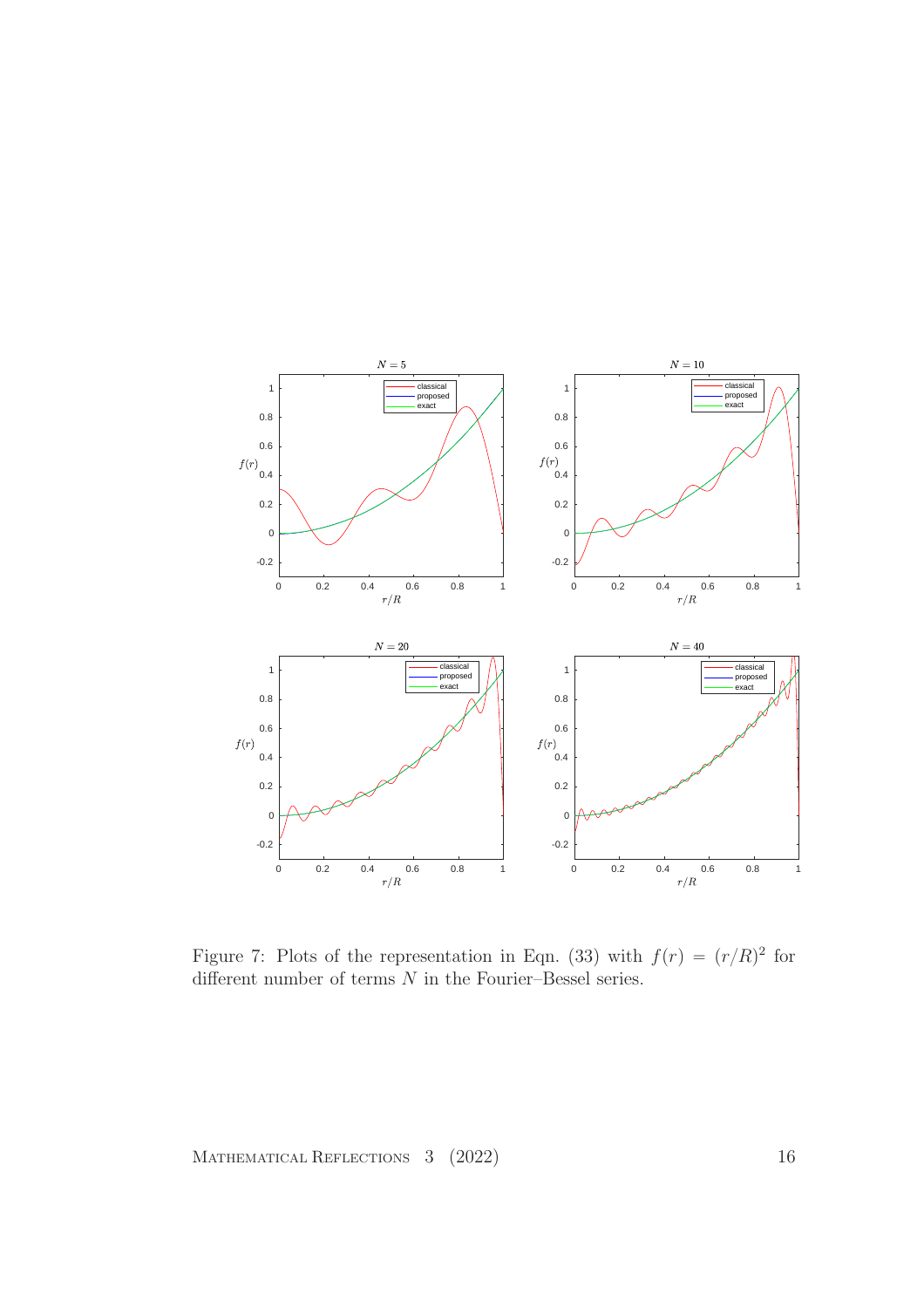

Figure 7: Plots of the representation in Eqn. (33) with  $f(r) = (r/R)^2$  for different number of terms  $N$  in the Fourier–Bessel series.